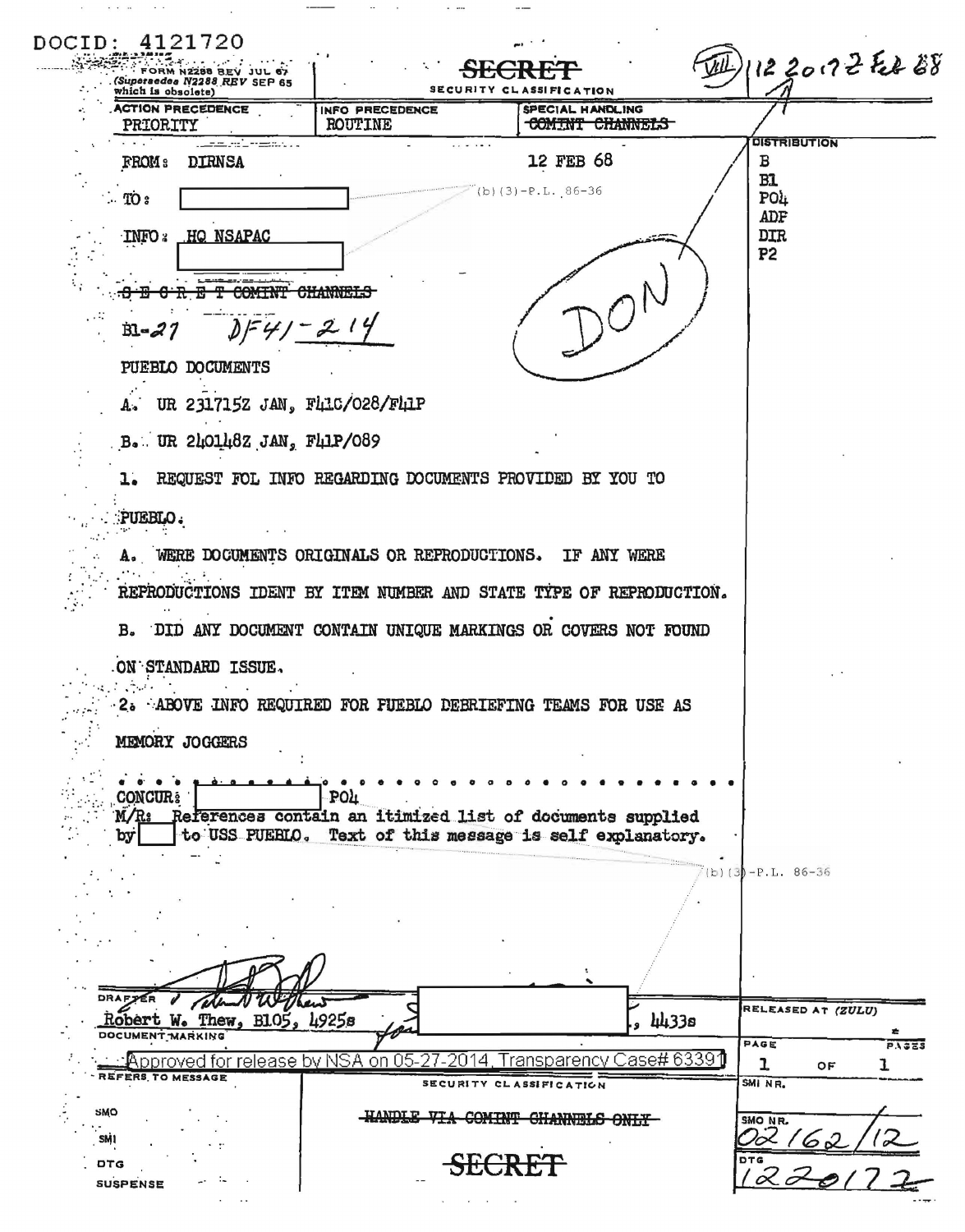| FORM N2288 BEV JUL 67<br>(Superaedea N2288 REV SEP 65<br>which is obsolete) |                                                                                                                       | SECURITY CLASSIFICATION             | 1122012 Feb 28              |  |
|-----------------------------------------------------------------------------|-----------------------------------------------------------------------------------------------------------------------|-------------------------------------|-----------------------------|--|
| <b>ACTION PRECEDENCE</b><br>PRIORITY                                        | INFO PRECEDENCE<br><b>ROUTINE</b>                                                                                     | SPECIAL HANDLING<br>COMINT CHANNELS |                             |  |
| <u>, Latin Miller and Mill</u><br><b>DIRNSA</b><br>FROM :                   |                                                                                                                       | 12 FEB 68                           | <b>DISTRIBUTION</b><br>в    |  |
| $\therefore$ TO $\epsilon$                                                  |                                                                                                                       | $(b)(3)-P.L. 86-36$                 | B1<br>PO4                   |  |
| HQ NSAPAC<br><b>INFO:</b>                                                   |                                                                                                                       |                                     | ADF<br><b>DIR</b>           |  |
|                                                                             |                                                                                                                       |                                     | P <sub>2</sub>              |  |
|                                                                             |                                                                                                                       |                                     |                             |  |
| DF41<br>$B - Z$                                                             |                                                                                                                       |                                     |                             |  |
| PUEBLO DOCUMENTS                                                            |                                                                                                                       |                                     |                             |  |
|                                                                             | UR 2317152 JAN, FLLC/028/FLIP                                                                                         |                                     |                             |  |
| B. UR 2401482 JAN, F41P/089                                                 |                                                                                                                       |                                     |                             |  |
|                                                                             | 1. REQUEST FOL INFO REGARDING DOCUMENTS PROVIDED BY YOU TO                                                            |                                     |                             |  |
| PUEBLO.                                                                     |                                                                                                                       |                                     |                             |  |
|                                                                             | A. WERE DOCUMENTS ORIGINALS OR REPRODUCTIONS.                                                                         | IF ANY WERE                         |                             |  |
|                                                                             | REPRODUCTIONS IDENT BY ITEM NUMBER AND STATE TIPE OF REPRODUCTION.                                                    |                                     |                             |  |
| в.                                                                          | DID ANY DOCUMENT CONTAIN UNIQUE MARKINGS OR COVERS NOT FOUND                                                          |                                     |                             |  |
| ON STANDARD ISSUE.                                                          |                                                                                                                       |                                     |                             |  |
|                                                                             | 2. ABOVE INFO REQUIRED FOR FUEBLO DEBRIEFING TEAMS FOR USE AS                                                         |                                     |                             |  |
| MEMORY JOGGERS                                                              |                                                                                                                       |                                     |                             |  |
| <b>CONCUR:</b>                                                              | <b>POL</b>                                                                                                            |                                     |                             |  |
| M/Rs<br>by                                                                  | References contain an itimized list of documents supplied<br>to USS PUEBLO. Text of this message is self explanatory. |                                     |                             |  |
|                                                                             |                                                                                                                       |                                     | (b) $(3) - P.L. 86-36$      |  |
|                                                                             |                                                                                                                       |                                     |                             |  |
|                                                                             |                                                                                                                       |                                     |                             |  |
|                                                                             |                                                                                                                       |                                     |                             |  |
| <b>DRAF<sub>P</sub></b><br>Robert W. Thew, B105, 4925s                      | تسهكا                                                                                                                 |                                     | RELEASED AT (ZULU)<br>Щ133а |  |
| DOCUMENT MARKING                                                            | ⊥∴Approved for release bγ NSA on 05-27-2014, Transparency Case# 63391                                                 |                                     | PAGE<br>ı<br>ОF             |  |
| REFERS TO MESSAGE                                                           |                                                                                                                       | SECURITY CLASSIFICATION             | SMI NR.                     |  |
|                                                                             |                                                                                                                       |                                     |                             |  |
| SMO<br>SM <sub>1</sub>                                                      | HANDIE VIA                                                                                                            | COMINT GHANNELS                     | SMO NR.<br>62               |  |